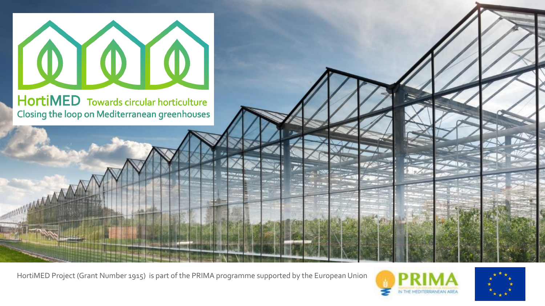

HortiMED Project (Grant Number 1915) is part of the PRIMA programme supported by the European Union



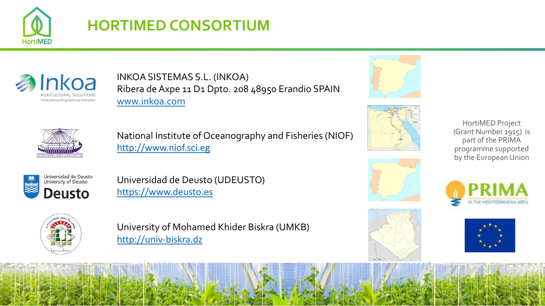

## **HORTIMED CONSORTIUM**



INKOA SISTEMAS S.L. (INKOA) Ribera de Axpe 11 D1 Dpto. 208 48950 Erandio SPAIN [www.inkoa.com](http://www.inkoa.com/)









HortiMED Project (Grant Number 1915) is part of the PRIMA programme supported by the European Union







National Institute of Oceanography and Fisheries (NIOF) [http://www.niof.sci.eg](http://www.niof.sci.eg/)

Universidad de Deusto<br>University of Deusto **Deusto** 

Universidad de Deusto (UDEUSTO) [https://www.deusto.es](https://www.deusto.es/cs/Satellite/deusto/es/universidad-deusto)



University of Mohamed Khider Biskra (UMKB) [http://univ-biskra.dz](http://univ-biskra.dz/index.php/en/)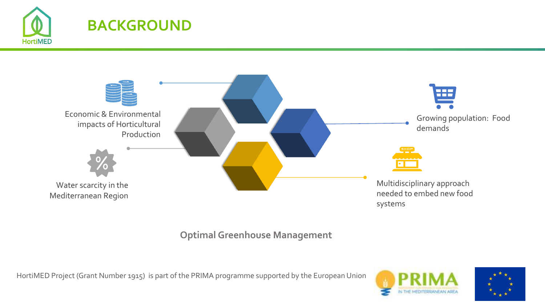

## **BACKGROUND**



## **Optimal Greenhouse Management**

HortiMED Project (Grant Number 1915) is part of the PRIMA programme supported by the European Union



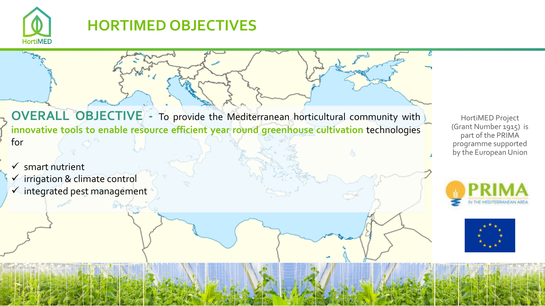

## **HORTIMED OBJECTIVES**

**OVERALL OBJECTIVE -** To provide the Mediterranean horticultural community with **innovative tools to enable resource efficient year round greenhouse cultivation** technologies for

 $\checkmark$  smart nutrient **V** irrigation & climate control Integrated pest management

HortiMED Project (Grant Number 1915) is part of the PRIMA programme supported by the European Union